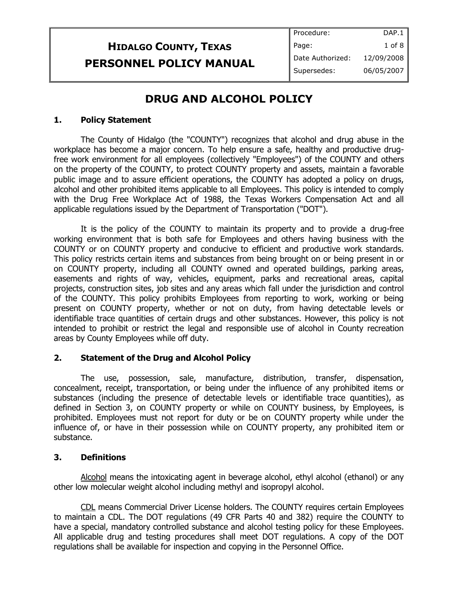## **HIDALGO COUNTY, TEXAS PERSONNEL POLICY MANUAL**

## **DRUG AND ALCOHOL POLICY**

### **1. Policy Statement**

The County of Hidalgo (the "COUNTY") recognizes that alcohol and drug abuse in the workplace has become a major concern. To help ensure a safe, healthy and productive drugfree work environment for all employees (collectively "Employees") of the COUNTY and others on the property of the COUNTY, to protect COUNTY property and assets, maintain a favorable public image and to assure efficient operations, the COUNTY has adopted a policy on drugs, alcohol and other prohibited items applicable to all Employees. This policy is intended to comply with the Drug Free Workplace Act of 1988, the Texas Workers Compensation Act and all applicable regulations issued by the Department of Transportation ("DOT").

It is the policy of the COUNTY to maintain its property and to provide a drug-free working environment that is both safe for Employees and others having business with the COUNTY or on COUNTY property and conducive to efficient and productive work standards. This policy restricts certain items and substances from being brought on or being present in or on COUNTY property, including all COUNTY owned and operated buildings, parking areas, easements and rights of way, vehicles, equipment, parks and recreational areas, capital projects, construction sites, job sites and any areas which fall under the jurisdiction and control of the COUNTY. This policy prohibits Employees from reporting to work, working or being present on COUNTY property, whether or not on duty, from having detectable levels or identifiable trace quantities of certain drugs and other substances. However, this policy is not intended to prohibit or restrict the legal and responsible use of alcohol in County recreation areas by County Employees while off duty.

### **2. Statement of the Drug and Alcohol Policy**

The use, possession, sale, manufacture, distribution, transfer, dispensation, concealment, receipt, transportation, or being under the influence of any prohibited items or substances (including the presence of detectable levels or identifiable trace quantities), as defined in Section 3, on COUNTY property or while on COUNTY business, by Employees, is prohibited. Employees must not report for duty or be on COUNTY property while under the influence of, or have in their possession while on COUNTY property, any prohibited item or substance.

### **3. Definitions**

Alcohol means the intoxicating agent in beverage alcohol, ethyl alcohol (ethanol) or any other low molecular weight alcohol including methyl and isopropyl alcohol.

CDL means Commercial Driver License holders. The COUNTY requires certain Employees to maintain a CDL. The DOT regulations (49 CFR Parts 40 and 382) require the COUNTY to have a special, mandatory controlled substance and alcohol testing policy for these Employees. All applicable drug and testing procedures shall meet DOT regulations. A copy of the DOT regulations shall be available for inspection and copying in the Personnel Office.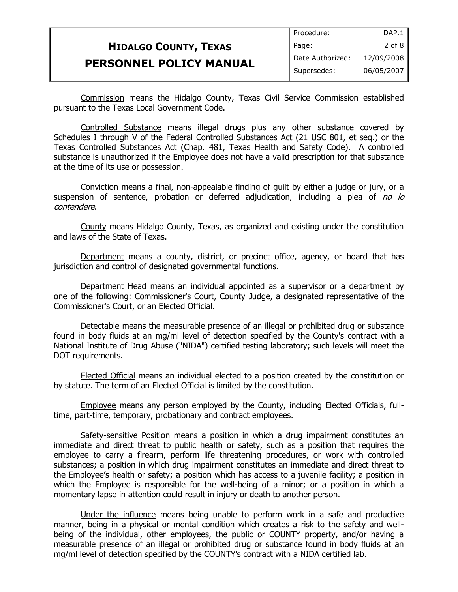|                                | Procedure:       | DAP.1      |
|--------------------------------|------------------|------------|
| <b>HIDALGO COUNTY, TEXAS</b>   | Page:            | $2$ of $8$ |
| <b>PERSONNEL POLICY MANUAL</b> | Date Authorized: | 12/09/2008 |
|                                | Supersedes:      | 06/05/2007 |

Commission means the Hidalgo County, Texas Civil Service Commission established pursuant to the Texas Local Government Code.

Controlled Substance means illegal drugs plus any other substance covered by Schedules I through V of the Federal Controlled Substances Act (21 USC 801, et seq.) or the Texas Controlled Substances Act (Chap. 481, Texas Health and Safety Code). A controlled substance is unauthorized if the Employee does not have a valid prescription for that substance at the time of its use or possession.

Conviction means a final, non-appealable finding of guilt by either a judge or jury, or a suspension of sentence, probation or deferred adjudication, including a plea of no lo contendere.

County means Hidalgo County, Texas, as organized and existing under the constitution and laws of the State of Texas.

Department means a county, district, or precinct office, agency, or board that has jurisdiction and control of designated governmental functions.

Department Head means an individual appointed as a supervisor or a department by one of the following: Commissioner's Court, County Judge, a designated representative of the Commissioner's Court, or an Elected Official.

Detectable means the measurable presence of an illegal or prohibited drug or substance found in body fluids at an mg/ml level of detection specified by the County's contract with a National Institute of Drug Abuse ("NIDA") certified testing laboratory; such levels will meet the DOT requirements.

Elected Official means an individual elected to a position created by the constitution or by statute. The term of an Elected Official is limited by the constitution.

Employee means any person employed by the County, including Elected Officials, fulltime, part-time, temporary, probationary and contract employees.

Safety-sensitive Position means a position in which a drug impairment constitutes an immediate and direct threat to public health or safety, such as a position that requires the employee to carry a firearm, perform life threatening procedures, or work with controlled substances; a position in which drug impairment constitutes an immediate and direct threat to the Employee's health or safety; a position which has access to a juvenile facility; a position in which the Employee is responsible for the well-being of a minor; or a position in which a momentary lapse in attention could result in injury or death to another person.

Under the influence means being unable to perform work in a safe and productive manner, being in a physical or mental condition which creates a risk to the safety and wellbeing of the individual, other employees, the public or COUNTY property, and/or having a measurable presence of an illegal or prohibited drug or substance found in body fluids at an mg/ml level of detection specified by the COUNTY's contract with a NIDA certified lab.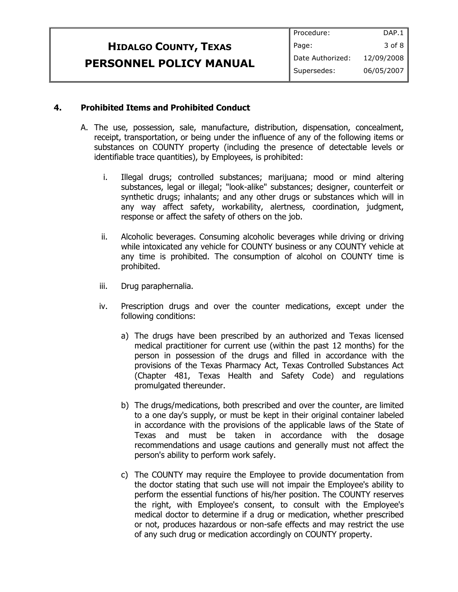|                                | Procedure:       | DAP.1      |
|--------------------------------|------------------|------------|
| <b>HIDALGO COUNTY, TEXAS</b>   | Page:            | 3 of 8     |
| <b>PERSONNEL POLICY MANUAL</b> | Date Authorized: | 12/09/2008 |
|                                | Supersedes:      | 06/05/2007 |
|                                |                  |            |

#### **4. Prohibited Items and Prohibited Conduct**

- A. The use, possession, sale, manufacture, distribution, dispensation, concealment, receipt, transportation, or being under the influence of any of the following items or substances on COUNTY property (including the presence of detectable levels or identifiable trace quantities), by Employees, is prohibited:
	- i. Illegal drugs; controlled substances; marijuana; mood or mind altering substances, legal or illegal; "look-alike" substances; designer, counterfeit or synthetic drugs; inhalants; and any other drugs or substances which will in any way affect safety, workability, alertness, coordination, judgment, response or affect the safety of others on the job.
	- ii. Alcoholic beverages. Consuming alcoholic beverages while driving or driving while intoxicated any vehicle for COUNTY business or any COUNTY vehicle at any time is prohibited. The consumption of alcohol on COUNTY time is prohibited.
	- iii. Drug paraphernalia.
	- iv. Prescription drugs and over the counter medications, except under the following conditions:
		- a) The drugs have been prescribed by an authorized and Texas licensed medical practitioner for current use (within the past 12 months) for the person in possession of the drugs and filled in accordance with the provisions of the Texas Pharmacy Act, Texas Controlled Substances Act (Chapter 481, Texas Health and Safety Code) and regulations promulgated thereunder.
		- b) The drugs/medications, both prescribed and over the counter, are limited to a one day's supply, or must be kept in their original container labeled in accordance with the provisions of the applicable laws of the State of Texas and must be taken in accordance with the dosage recommendations and usage cautions and generally must not affect the person's ability to perform work safely.
		- c) The COUNTY may require the Employee to provide documentation from the doctor stating that such use will not impair the Employee's ability to perform the essential functions of his/her position. The COUNTY reserves the right, with Employee's consent, to consult with the Employee's medical doctor to determine if a drug or medication, whether prescribed or not, produces hazardous or non-safe effects and may restrict the use of any such drug or medication accordingly on COUNTY property.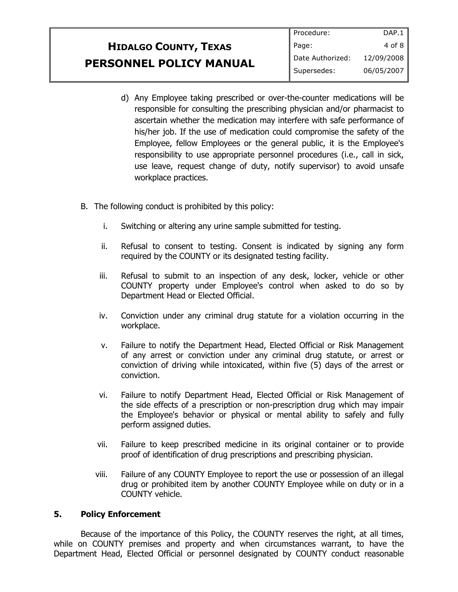## **HIDALGO COUNTY, TEXAS PERSONNEL POLICY MANUAL**

- d) Any Employee taking prescribed or over-the-counter medications will be responsible for consulting the prescribing physician and/or pharmacist to ascertain whether the medication may interfere with safe performance of his/her job. If the use of medication could compromise the safety of the Employee, fellow Employees or the general public, it is the Employee's responsibility to use appropriate personnel procedures (i.e., call in sick, use leave, request change of duty, notify supervisor) to avoid unsafe workplace practices.
- B. The following conduct is prohibited by this policy:
	- i. Switching or altering any urine sample submitted for testing.
	- ii. Refusal to consent to testing. Consent is indicated by signing any form required by the COUNTY or its designated testing facility.
	- iii. Refusal to submit to an inspection of any desk, locker, vehicle or other COUNTY property under Employee's control when asked to do so by Department Head or Elected Official.
	- iv. Conviction under any criminal drug statute for a violation occurring in the workplace.
	- v. Failure to notify the Department Head, Elected Official or Risk Management of any arrest or conviction under any criminal drug statute, or arrest or conviction of driving while intoxicated, within five (5) days of the arrest or conviction.
	- vi. Failure to notify Department Head, Elected Official or Risk Management of the side effects of a prescription or non-prescription drug which may impair the Employee's behavior or physical or mental ability to safely and fully perform assigned duties.
	- vii. Failure to keep prescribed medicine in its original container or to provide proof of identification of drug prescriptions and prescribing physician.
	- viii. Failure of any COUNTY Employee to report the use or possession of an illegal drug or prohibited item by another COUNTY Employee while on duty or in a COUNTY vehicle.

### **5. Policy Enforcement**

Because of the importance of this Policy, the COUNTY reserves the right, at all times, while on COUNTY premises and property and when circumstances warrant, to have the Department Head, Elected Official or personnel designated by COUNTY conduct reasonable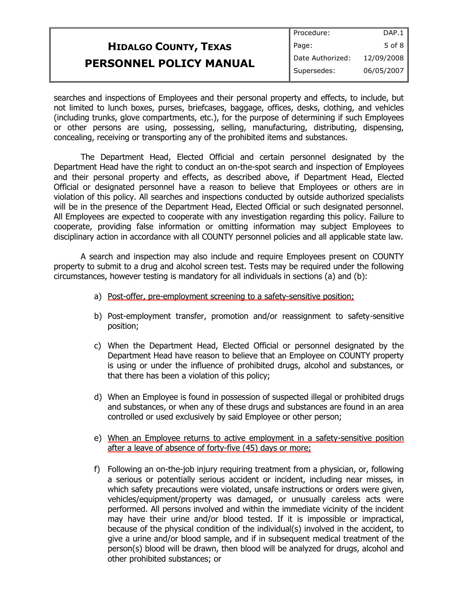|                                | Procedure:       | DAP.1      |
|--------------------------------|------------------|------------|
| <b>HIDALGO COUNTY, TEXAS</b>   | Page:            | $5$ of $8$ |
| <b>PERSONNEL POLICY MANUAL</b> | Date Authorized: | 12/09/2008 |
|                                | Supersedes:      | 06/05/2007 |

searches and inspections of Employees and their personal property and effects, to include, but not limited to lunch boxes, purses, briefcases, baggage, offices, desks, clothing, and vehicles (including trunks, glove compartments, etc.), for the purpose of determining if such Employees or other persons are using, possessing, selling, manufacturing, distributing, dispensing, concealing, receiving or transporting any of the prohibited items and substances.

The Department Head, Elected Official and certain personnel designated by the Department Head have the right to conduct an on-the-spot search and inspection of Employees and their personal property and effects, as described above, if Department Head, Elected Official or designated personnel have a reason to believe that Employees or others are in violation of this policy. All searches and inspections conducted by outside authorized specialists will be in the presence of the Department Head, Elected Official or such designated personnel. All Employees are expected to cooperate with any investigation regarding this policy. Failure to cooperate, providing false information or omitting information may subject Employees to disciplinary action in accordance with all COUNTY personnel policies and all applicable state law.

A search and inspection may also include and require Employees present on COUNTY property to submit to a drug and alcohol screen test. Tests may be required under the following circumstances, however testing is mandatory for all individuals in sections (a) and (b):

- a) Post-offer, pre-employment screening to a safety-sensitive position;
- b) Post-employment transfer, promotion and/or reassignment to safety-sensitive position;
- c) When the Department Head, Elected Official or personnel designated by the Department Head have reason to believe that an Employee on COUNTY property is using or under the influence of prohibited drugs, alcohol and substances, or that there has been a violation of this policy;
- d) When an Employee is found in possession of suspected illegal or prohibited drugs and substances, or when any of these drugs and substances are found in an area controlled or used exclusively by said Employee or other person;
- e) When an Employee returns to active employment in a safety-sensitive position after a leave of absence of forty-five (45) days or more;
- f) Following an on-the-job injury requiring treatment from a physician, or, following a serious or potentially serious accident or incident, including near misses, in which safety precautions were violated, unsafe instructions or orders were given, vehicles/equipment/property was damaged, or unusually careless acts were performed. All persons involved and within the immediate vicinity of the incident may have their urine and/or blood tested. If it is impossible or impractical, because of the physical condition of the individual(s) involved in the accident, to give a urine and/or blood sample, and if in subsequent medical treatment of the person(s) blood will be drawn, then blood will be analyzed for drugs, alcohol and other prohibited substances; or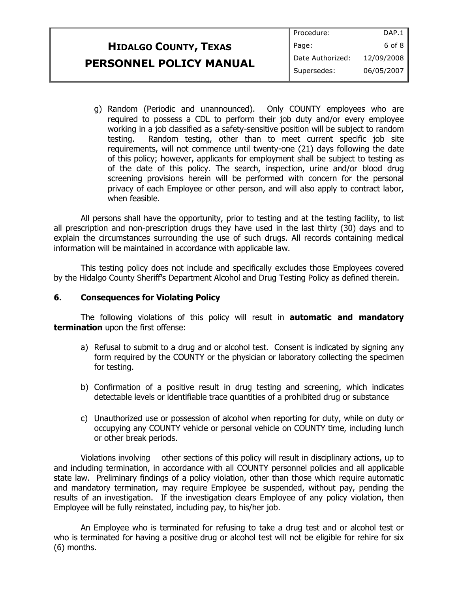|                                | Procedure:         | DAP.1      |
|--------------------------------|--------------------|------------|
| <b>HIDALGO COUNTY, TEXAS</b>   | Page:              | 6 of 8 $ $ |
| <b>PERSONNEL POLICY MANUAL</b> | I Date Authorized: | 12/09/2008 |
|                                | Supersedes:        | 06/05/2007 |
|                                |                    |            |

g) Random (Periodic and unannounced). Only COUNTY employees who are required to possess a CDL to perform their job duty and/or every employee working in a job classified as a safety-sensitive position will be subject to random testing. Random testing, other than to meet current specific job site requirements, will not commence until twenty-one (21) days following the date of this policy; however, applicants for employment shall be subject to testing as of the date of this policy. The search, inspection, urine and/or blood drug screening provisions herein will be performed with concern for the personal privacy of each Employee or other person, and will also apply to contract labor, when feasible.

All persons shall have the opportunity, prior to testing and at the testing facility, to list all prescription and non-prescription drugs they have used in the last thirty (30) days and to explain the circumstances surrounding the use of such drugs. All records containing medical information will be maintained in accordance with applicable law.

This testing policy does not include and specifically excludes those Employees covered by the Hidalgo County Sheriff's Department Alcohol and Drug Testing Policy as defined therein.

#### **6. Consequences for Violating Policy**

The following violations of this policy will result in **automatic and mandatory termination** upon the first offense:

- a) Refusal to submit to a drug and or alcohol test. Consent is indicated by signing any form required by the COUNTY or the physician or laboratory collecting the specimen for testing.
- b) Confirmation of a positive result in drug testing and screening, which indicates detectable levels or identifiable trace quantities of a prohibited drug or substance
- c) Unauthorized use or possession of alcohol when reporting for duty, while on duty or occupying any COUNTY vehicle or personal vehicle on COUNTY time, including lunch or other break periods.

Violations involving other sections of this policy will result in disciplinary actions, up to and including termination, in accordance with all COUNTY personnel policies and all applicable state law. Preliminary findings of a policy violation, other than those which require automatic and mandatory termination, may require Employee be suspended, without pay, pending the results of an investigation. If the investigation clears Employee of any policy violation, then Employee will be fully reinstated, including pay, to his/her job.

An Employee who is terminated for refusing to take a drug test and or alcohol test or who is terminated for having a positive drug or alcohol test will not be eligible for rehire for six (6) months.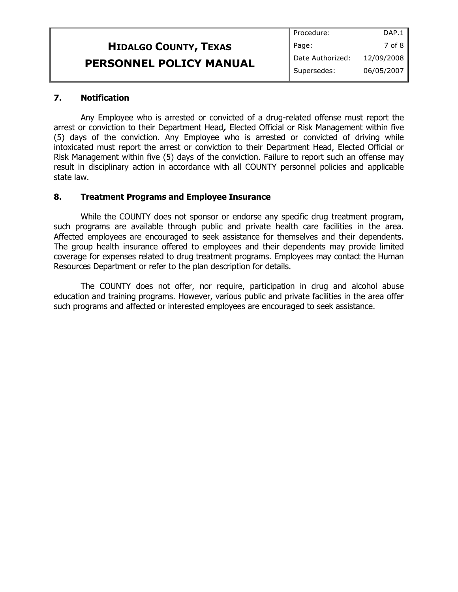|                                | Procedure:       | DAP.1      |
|--------------------------------|------------------|------------|
| <b>HIDALGO COUNTY, TEXAS</b>   | Page:            | 7 of 8     |
| <b>PERSONNEL POLICY MANUAL</b> | Date Authorized: | 12/09/2008 |
|                                | Supersedes:      | 06/05/2007 |

#### **7. Notification**

Any Employee who is arrested or convicted of a drug-related offense must report the arrest or conviction to their Department Head**,** Elected Official or Risk Management within five (5) days of the conviction. Any Employee who is arrested or convicted of driving while intoxicated must report the arrest or conviction to their Department Head, Elected Official or Risk Management within five (5) days of the conviction. Failure to report such an offense may result in disciplinary action in accordance with all COUNTY personnel policies and applicable state law.

#### **8. Treatment Programs and Employee Insurance**

While the COUNTY does not sponsor or endorse any specific drug treatment program, such programs are available through public and private health care facilities in the area. Affected employees are encouraged to seek assistance for themselves and their dependents. The group health insurance offered to employees and their dependents may provide limited coverage for expenses related to drug treatment programs. Employees may contact the Human Resources Department or refer to the plan description for details.

The COUNTY does not offer, nor require, participation in drug and alcohol abuse education and training programs. However, various public and private facilities in the area offer such programs and affected or interested employees are encouraged to seek assistance.